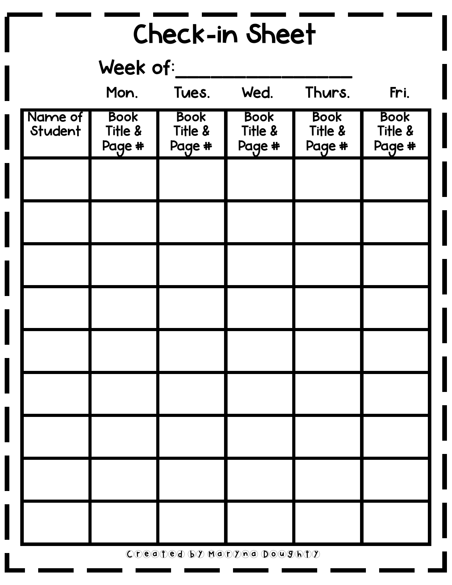| Check-in Sheet     |                                  |                                  |                                  |                                  |                                  |
|--------------------|----------------------------------|----------------------------------|----------------------------------|----------------------------------|----------------------------------|
| Week of:           |                                  |                                  |                                  |                                  |                                  |
|                    | Mon.                             | Tues.                            | Wed.                             | Thurs.                           | Fri.                             |
| Name of<br>Student | <b>Book</b><br>Title &<br>Page # | <b>Book</b><br>Title &<br>Page # | <b>Book</b><br>Title &<br>Page # | <b>Book</b><br>Title &<br>Page # | <b>Book</b><br>Title &<br>Page # |
|                    |                                  |                                  |                                  |                                  |                                  |
|                    |                                  |                                  |                                  |                                  |                                  |
|                    |                                  |                                  |                                  |                                  |                                  |
|                    |                                  |                                  |                                  |                                  |                                  |
|                    |                                  |                                  |                                  |                                  |                                  |
|                    |                                  |                                  |                                  |                                  |                                  |
|                    |                                  |                                  |                                  |                                  |                                  |
|                    |                                  |                                  |                                  |                                  |                                  |
|                    |                                  |                                  |                                  |                                  |                                  |

Created by Maryna Doughty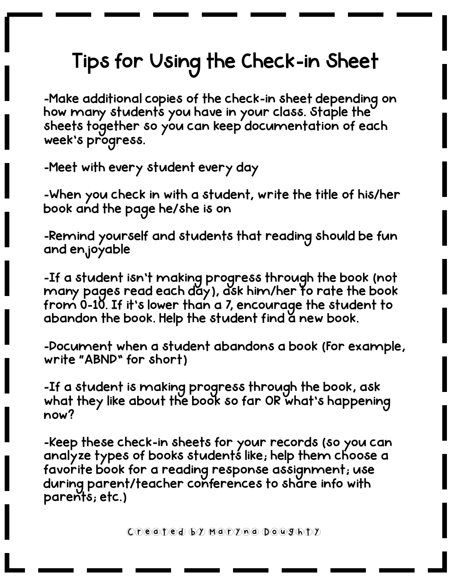## Tips for Using the Check-in Sheet

-Make additional copies of the check-in sheet depending on how many students you have in your class. Staple the sheets together so you can keep documentation of each week's progress.

-Meet with every student every day

-When you check in with a student, write the title of his/her book and the page he/she is on

-Remind yourself and students that reading should be fun and enjoyable

-If a student isn't making progress through the book (not many pages read each day), ask him/her to rate the book from 0-10. If it's lower than a 7, encourage the student to abandon the book. Help the student find a new book.

-Document when a student abandons a book (For example, write "ABND" for short)

-If a student is making progress through the book, ask what they like about the book so far OR what's happening now?

-Keep these check-in sheets for your records (so you can analyze types of books students like; help them choose a favorite book for a reading response assignment; use during parent/teacher conferences to share info with parents; etc.)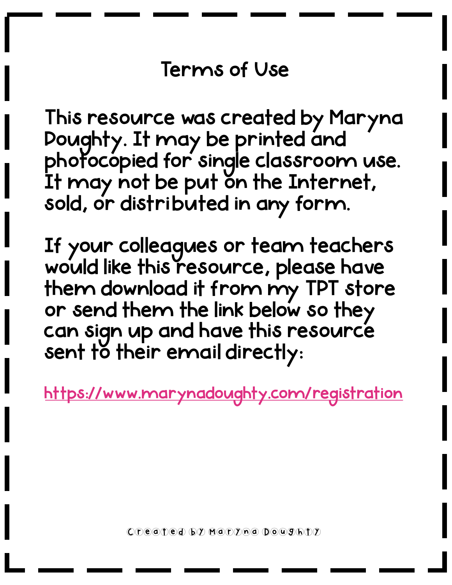## Terms of Use

This resource was created by Maryna Doughty. It may be printed and photocopied for single classroom use. It may not be put on the Internet, sold, or distributed in any form.

If your colleagues or team teachers would like this resource, please have them download it from my TPT store or send them the link below so they can sign up and have this resource sent to their email directly:

<https://www.marynadoughty.com/registration>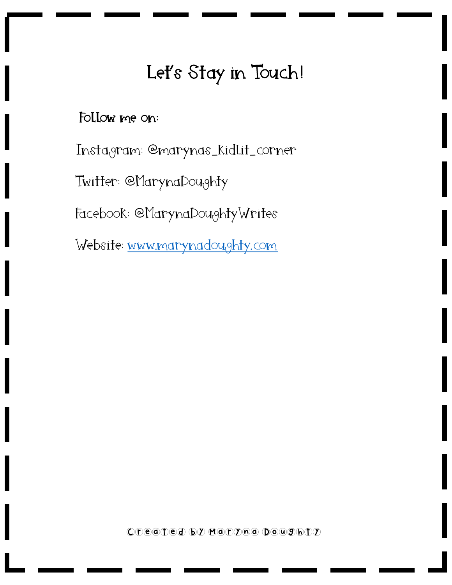## Let's Stay in Touch!

## Follow me on:

Instagram: @marynas\_kidlit\_corner

Twitter: @MarynaDoughty

Facebook: @MarynaDoughtyWrites

Website: [www.marynadoughty.com](https://www.marynadoughty.com/)

Created by Maryna Doughty